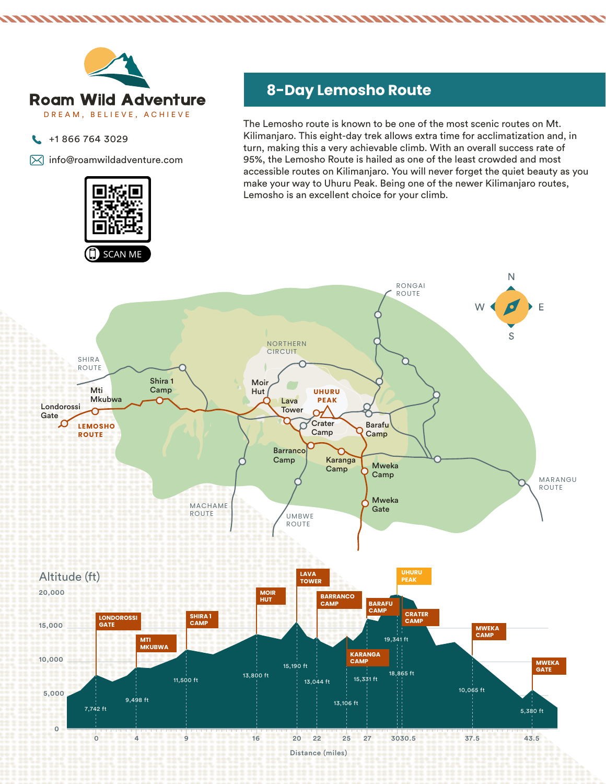

- $\leftarrow$  +1 866 764 3029
- $\boxtimes$  info@roamwildadventure.com

# **8-Day Lemosho Route**

The Lemosho route is known to be one of the most scenic routes on Mt. Kilimanjaro. This eight-day trek allows extra time for acclimatization and, in turn, making this a very achievable climb. With an overall success rate of 95%, the Lemosho Route is hailed as one of the least crowded and most accessible routes on Kilimanjaro. You will never forget the quiet beauty as you make your way to Uhuru Peak. Being one of the newer Kilimanjaro routes, Lemosho is an excellent choice for your climb.

NNAMA TAHARAMAN MAHAMAN MAHAMAN MAHAMAN MAHAMAN MAHAMAN MAHAMAN MAHAMAN MAHAMAN MAHAMAN MAHAMAN MAHAMAN MAHAMA

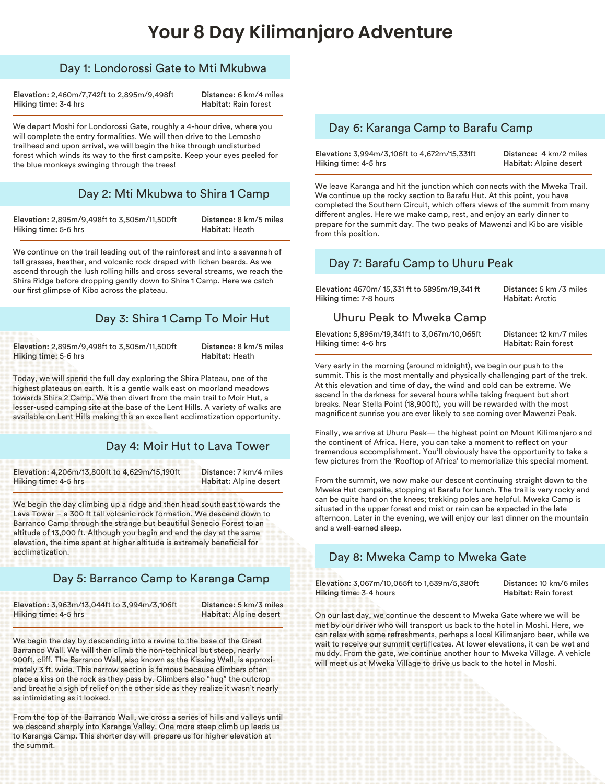# **Your 8 Day Kilimanjaro Adventure**

### Day 1: Londorossi Gate to Mti Mkubwa

Elevation: 2,460m/7,742ft to 2,895m/9,498ft Hiking time: 3-4 hrs

Distance: 6 km/4 miles Habitat: Rain forest

We depart Moshi for Londorossi Gate, roughly a 4-hour drive, where you will complete the entry formalities. We will then drive to the Lemosho trailhead and upon arrival, we will begin the hike through undisturbed forest which winds its way to the first campsite. Keep your eyes peeled for the blue monkeys swinging through the trees!

#### Day 2: Mti Mkubwa to Shira 1 Camp

Elevation: 2,895m/9,498ft to 3,505m/11,500ft Hiking time: 5-6 hrs

Distance: 8 km/5 miles Habitat: Heath

We continue on the trail leading out of the rainforest and into a savannah of tall grasses, heather, and volcanic rock draped with lichen beards. As we ascend through the lush rolling hills and cross several streams, we reach the Shira Ridge before dropping gently down to Shira 1 Camp. Here we catch our first glimpse of Kibo across the plateau.

## Day 3: Shira 1 Camp To Moir Hut

Elevation: 2,895m/9,498ft to 3,505m/11,500ft Hiking time: 5-6 hrs

Distance: 8 km/5 miles Habitat: Heath

Today, we will spend the full day exploring the Shira Plateau, one of the highest plateaus on earth. It is a gentle walk east on moorland meadows towards Shira 2 Camp. We then divert from the main trail to Moir Hut, a lesser-used camping site at the base of the Lent Hills. A variety of walks are available on Lent Hills making this an excellent acclimatization opportunity.

## Day 4: Moir Hut to Lava Tower

Elevation: 4,206m/13,800ft to 4,629m/15,190ft Hiking time: 4-5 hrs

Distance: 7 km/4 miles Habitat: Alpine desert

We begin the day climbing up a ridge and then head southeast towards the Lava Tower – a 300 ft tall volcanic rock formation. We descend down to Barranco Camp through the strange but beautiful Senecio Forest to an altitude of 13,000 ft. Although you begin and end the day at the same elevation, the time spent at higher altitude is extremely beneficial for acclimatization.

# Day 5: Barranco Camp to Karanga Camp

Elevation: 3,963m/13,044ft to 3,994m/3,106ft Hiking time: 4-5 hrs

Distance: 5 km/3 miles Habitat: Alpine desert

We begin the day by descending into a ravine to the base of the Great Barranco Wall. We will then climb the non-technical but steep, nearly 900ft, cliff. The Barranco Wall, also known as the Kissing Wall, is approximately 3 ft. wide. This narrow section is famous because climbers often place a kiss on the rock as they pass by. Climbers also "hug" the outcrop and breathe a sigh of relief on the other side as they realize it wasn't nearly as intimidating as it looked.

From the top of the Barranco Wall, we cross a series of hills and valleys until we descend sharply into Karanga Valley. One more steep climb up leads us to Karanga Camp. This shorter day will prepare us for higher elevation at the summit.

#### Day 6: Karanga Camp to Barafu Camp

Elevation: 3,994m/3,106ft to 4,672m/15,331ft Hiking time: 4-5 hrs

Distance: 4 km/2 miles Habitat: Alpine desert

We leave Karanga and hit the junction which connects with the Mweka Trail. We continue up the rocky section to Barafu Hut. At this point, you have completed the Southern Circuit, which offers views of the summit from many different angles. Here we make camp, rest, and enjoy an early dinner to prepare for the summit day. The two peaks of Mawenzi and Kibo are visible from this position.

# Day 7: Barafu Camp to Uhuru Peak

Elevation: 4670m/ 15,331 ft to 5895m/19,341 ft Hiking time: 7-8 hours

Distance: 5 km /3 miles Habitat: Arctic

#### Uhuru Peak to Mweka Camp

Elevation: 5,895m/19,341ft to 3,067m/10,065ft Hiking time: 4-6 hrs

Distance: 12 km/7 miles Habitat: Rain forest

Very early in the morning (around midnight), we begin our push to the summit. This is the most mentally and physically challenging part of the trek. At this elevation and time of day, the wind and cold can be extreme. We ascend in the darkness for several hours while taking frequent but short breaks. Near Stella Point (18,900ft), you will be rewarded with the most magnificent sunrise you are ever likely to see coming over Mawenzi Peak.

Finally, we arrive at Uhuru Peak— the highest point on Mount Kilimanjaro and the continent of Africa. Here, you can take a moment to reflect on your tremendous accomplishment. You'll obviously have the opportunity to take a few pictures from the 'Rooftop of Africa' to memorialize this special moment.

From the summit, we now make our descent continuing straight down to the Mweka Hut campsite, stopping at Barafu for lunch. The trail is very rocky and can be quite hard on the knees; trekking poles are helpful. Mweka Camp is situated in the upper forest and mist or rain can be expected in the late afternoon. Later in the evening, we will enjoy our last dinner on the mountain and a well-earned sleep.

# Day 8: Mweka Camp to Mweka Gate

Elevation: 3,067m/10,065ft to 1,639m/5,380ft Hiking time: 3-4 hours

Distance: 10 km/6 miles Habitat: Rain forest

On our last day, we continue the descent to Mweka Gate where we will be met by our driver who will transport us back to the hotel in Moshi. Here, we can relax with some refreshments, perhaps a local Kilimanjaro beer, while we wait to receive our summit certificates. At lower elevations, it can be wet and muddy. From the gate, we continue another hour to Mweka Village. A vehicle will meet us at Mweka Village to drive us back to the hotel in Moshi.